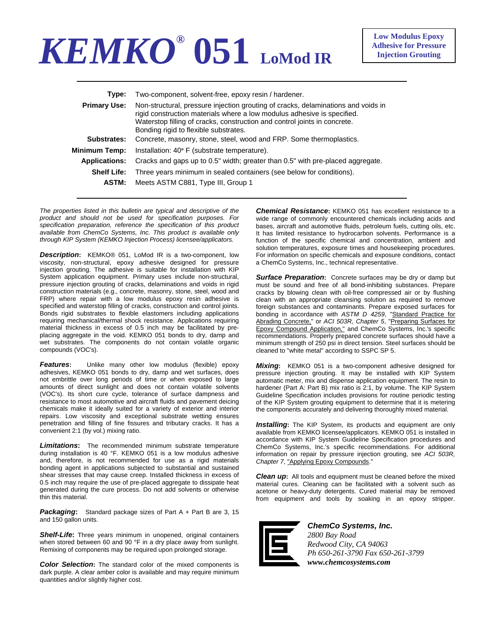## *KEMKO®* **051 LoMod IR**

| Type:                | Two-component, solvent-free, epoxy resin / hardener.                                                                                                                                                                                                                               |
|----------------------|------------------------------------------------------------------------------------------------------------------------------------------------------------------------------------------------------------------------------------------------------------------------------------|
| <b>Primary Use:</b>  | Non-structural, pressure injection grouting of cracks, delaminations and voids in<br>rigid construction materials where a low modulus adhesive is specified.<br>Waterstop filling of cracks, construction and control joints in concrete.<br>Bonding rigid to flexible substrates. |
| Substrates:          | Concrete, masonry, stone, steel, wood and FRP. Some thermoplastics.                                                                                                                                                                                                                |
| Minimum Temp:        | Installation: 40° F (substrate temperature).                                                                                                                                                                                                                                       |
| <b>Applications:</b> | Cracks and gaps up to 0.5" width; greater than 0.5" with pre-placed aggregate.                                                                                                                                                                                                     |
| <b>Shelf Life:</b>   | Three years minimum in sealed containers (see below for conditions).                                                                                                                                                                                                               |
| ASTM:                | Meets ASTM C881, Type III, Group 1                                                                                                                                                                                                                                                 |
|                      |                                                                                                                                                                                                                                                                                    |

*The properties listed in this bulletin are typical and descriptive of the product and should not be used for specification purposes. For specification preparation, reference the specification of this product available from ChemCo Systems, Inc. This product is available only through KIP System (KEMKO Injection Process) licensee/applicators.* 

*Description***:** KEMKO® 051, LoMod IR is a two-component, low viscosity, non-structural, epoxy adhesive designed for pressure injection grouting. The adhesive is suitable for installation with KIP System application equipment. Primary uses include non-structural, pressure injection grouting of cracks, delaminations and voids in rigid construction materials (e.g., concrete, masonry, stone, steel, wood and FRP) where repair with a low modulus epoxy resin adhesive is specified and waterstop filling of cracks, construction and control joints. Bonds rigid substrates to flexible elastomers including applications requiring mechanical/thermal shock resistance. Applications requiring material thickness in excess of 0.5 inch may be facilitated by preplacing aggregate in the void. KEMKO 051 bonds to dry, damp and wet substrates. The components do not contain volatile organic compounds (VOC's).

**Features:** Unlike many other low modulus (flexible) epoxy adhesives, KEMKO 051 bonds to dry, damp and wet surfaces, does not embrittle over long periods of time or when exposed to large amounts of direct sunlight and does not contain volatile solvents (VOC's). Its short cure cycle, tolerance of surface dampness and resistance to most automotive and aircraft fluids and pavement deicing chemicals make it ideally suited for a variety of exterior and interior repairs. Low viscosity and exceptional substrate wetting ensures penetration and filling of fine fissures and tributary cracks. It has a convenient 2:1 (by vol.) mixing ratio.

*Limitations***:** The recommended minimum substrate temperature during installation is 40 °F. KEMKO 051 is a low modulus adhesive and, therefore, is not recommended for use as a rigid materials bonding agent in applications subjected to substantial and sustained shear stresses that may cause creep. Installed thickness in excess of 0.5 inch may require the use of pre-placed aggregate to dissipate heat generated during the cure process. Do not add solvents or otherwise thin this material.

*Packaging***:** Standard package sizes of Part A + Part B are 3, 15 and 150 gallon units.

*Shelf-Life***:** Three years minimum in unopened, original containers when stored between 60 and 90 °F in a dry place away from sunlight. Remixing of components may be required upon prolonged storage.

*Color Selection***:** The standard color of the mixed components is dark purple. A clear amber color is available and may require minimum quantities and/or slightly higher cost.

**Chemical Resistance:** KEMKO 051 has excellent resistance to a wide range of commonly encountered chemicals including acids and bases, aircraft and automotive fluids, petroleum fuels, cutting oils, etc. It has limited resistance to hydrocarbon solvents. Performance is a function of the specific chemical and concentration, ambient and solution temperatures, exposure times and housekeeping procedures. For information on specific chemicals and exposure conditions, contact a ChemCo Systems, Inc., technical representative.

*Surface Preparation***:** Concrete surfaces may be dry or damp but must be sound and free of all bond-inhibiting substances. Prepare cracks by blowing clean with oil-free compressed air or by flushing clean with an appropriate cleansing solution as required to remove foreign substances and contaminants. Prepare exposed surfaces for bonding in accordance with *ASTM D 4259*, "Standard Practice for Abrading Concrete," or *ACI 503R, Chapter 5*, "Preparing Surfaces for Epoxy Compound Application," and ChemCo Systems, Inc.'s specific recommendations. Properly prepared concrete surfaces should have a minimum strength of 250 psi in direct tension. Steel surfaces should be cleaned to "white metal" according to SSPC SP 5.

*Mixing***:** KEMKO 051 is a two-component adhesive designed for pressure injection grouting. It may be installed with KIP System automatic meter, mix and dispense application equipment. The resin to hardener (Part A: Part B) mix ratio is 2:1, by volume. The KIP System Guideline Specification includes provisions for routine periodic testing of the KIP System grouting equipment to determine that it is metering the components accurately and delivering thoroughly mixed material.

*Installing***:** The KIP System, its products and equipment are only available from KEMKO licensee/applicators. KEMKO 051 is installed in accordance with KIP System Guideline Specification procedures and ChemCo Systems, Inc.'s specific recommendations. For additional information on repair by pressure injection grouting, see *ACI 503R, Chapter 7*, "Applying Epoxy Compounds."

*Clean up***:** All tools and equipment must be cleaned before the mixed material cures. Cleaning can be facilitated with a solvent such as acetone or heavy-duty detergents. Cured material may be removed from equipment and tools by soaking in an epoxy stripper.



*ChemCo Systems, Inc. 2800 Bay Road Redwood City, CA 94063 Ph 650-261-3790 Fax 650-261-3799 www.chemcosystems.com*